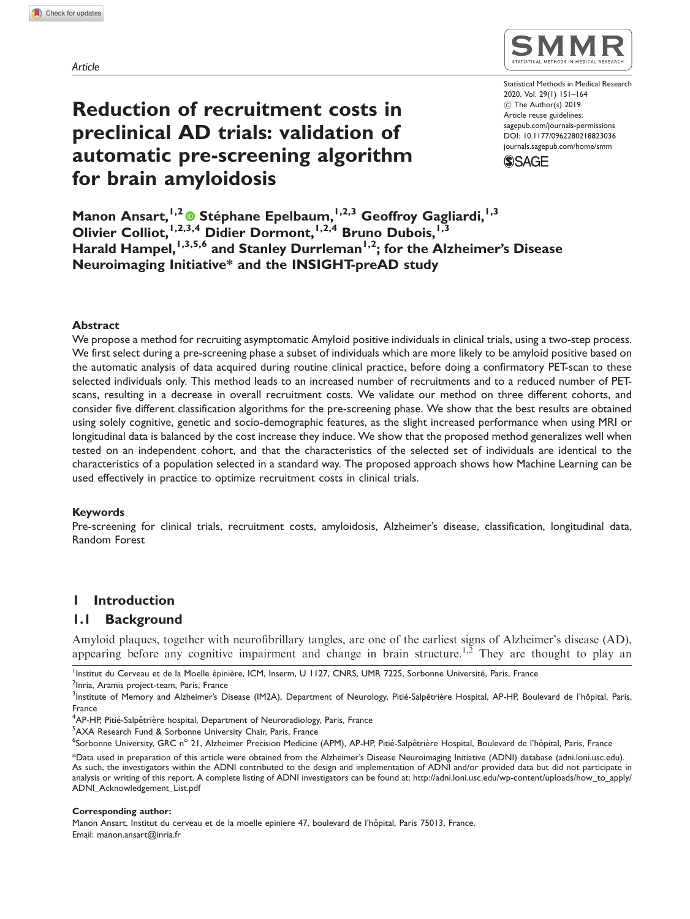Article

# Reduction of recruitment costs in preclinical AD trials: validation of automatic pre-screening algorithm for brain amyloidosis



Statistical Methods in Medical Research 2020, Vol. 29(1) 151–164 ! The Author(s) 2019 Article reuse guidelines: [sagepub.com/journals-permissions](https://uk.sagepub.com/en-gb/journals-permissions) DOI: [10.1177/0962280218823036](https://doi.org/10.1177/0962280218823036) <journals.sagepub.com/home/smm>**SSAGE** 

Manon Ansart, <sup>1,2</sup> ® Stéphane Epelbaum, <sup>1,2,3</sup> Geoffroy Gagliardi, <sup>1,3</sup> Olivier Colliot, 1,2,3,4 Didier Dormont, 1,2,4 Bruno Dubois, 1,3 Harald Hampel,  $1,3,5,6$  and Stanley Durrleman<sup>1,2</sup>; for the Alzheimer's Disease Neuroimaging Initiative\* and the INSIGHT-preAD study

## Abstract

We propose a method for recruiting asymptomatic Amyloid positive individuals in clinical trials, using a two-step process. We first select during a pre-screening phase a subset of individuals which are more likely to be amyloid positive based on the automatic analysis of data acquired during routine clinical practice, before doing a confirmatory PET-scan to these selected individuals only. This method leads to an increased number of recruitments and to a reduced number of PETscans, resulting in a decrease in overall recruitment costs. We validate our method on three different cohorts, and consider five different classification algorithms for the pre-screening phase. We show that the best results are obtained using solely cognitive, genetic and socio-demographic features, as the slight increased performance when using MRI or longitudinal data is balanced by the cost increase they induce. We show that the proposed method generalizes well when tested on an independent cohort, and that the characteristics of the selected set of individuals are identical to the characteristics of a population selected in a standard way. The proposed approach shows how Machine Learning can be used effectively in practice to optimize recruitment costs in clinical trials.

### Keywords

Pre-screening for clinical trials, recruitment costs, amyloidosis, Alzheimer's disease, classification, longitudinal data, Random Forest

# 1 Introduction

# 1.1 Background

Amyloid plaques, together with neurofibrillary tangles, are one of the earliest signs of Alzheimer's disease (AD), appearing before any cognitive impairment and change in brain structure.<sup>1,2</sup> They are thought to play an

<sup>1</sup>Institut du Cerveau et de la Moelle épinière, ICM, Inserm, U 1127, CNRS, UMR 7225, Sorbonne Université, Paris, France<br><sup>2</sup>Inria, Aramis project team, Paris, France

<sup>2</sup>Inria, Aramis project-team, Paris, France

<sup>5</sup>AXA Research Fund & Sorbonne University Chair, Paris, France

#### Corresponding author:

Manon Ansart, Institut du cerveau et de la moelle epiniere 47, boulevard de l'hôpital, Paris 75013, France. Email: manon.ansart@inria.fr

<sup>3&</sup>lt;br>Institute of Memory and Alzheimer's Disease (IM2A), Department of Neurology, Pitié-Salpêtrière Hospital, AP-HP, Boulevard de l'hôpital, Paris, France

<sup>&</sup>lt;sup>4</sup>AP-HP, Pitié-Salpêtrière hospital, Department of Neuroradiology, Paris, France<br><sup>5</sup>AXA Research Eund & Sorbonne University Chair Paris, France

<sup>&</sup>lt;sup>6</sup>Sorbonne University, GRC n° 21, Alzheimer Precision Medicine (APM), AP-HP, Pitié-Salpêtrière Hospital, Boulevard de l'hôpital, Paris, France

<sup>\*</sup>Data used in preparation of this article were obtained from the Alzheimer's Disease Neuroimaging Initiative (ADNI) database (adni.loni.usc.edu). As such, the investigators within the ADNI contributed to the design and implementation of ADNI and/or provided data but did not participate in analysis or writing of this report. A complete listing of ADNI investigators can be found at: http://adni.loni.usc.edu/wp-content/uploads/how\_to\_apply/ ADNI\_Acknowledgement\_List.pdf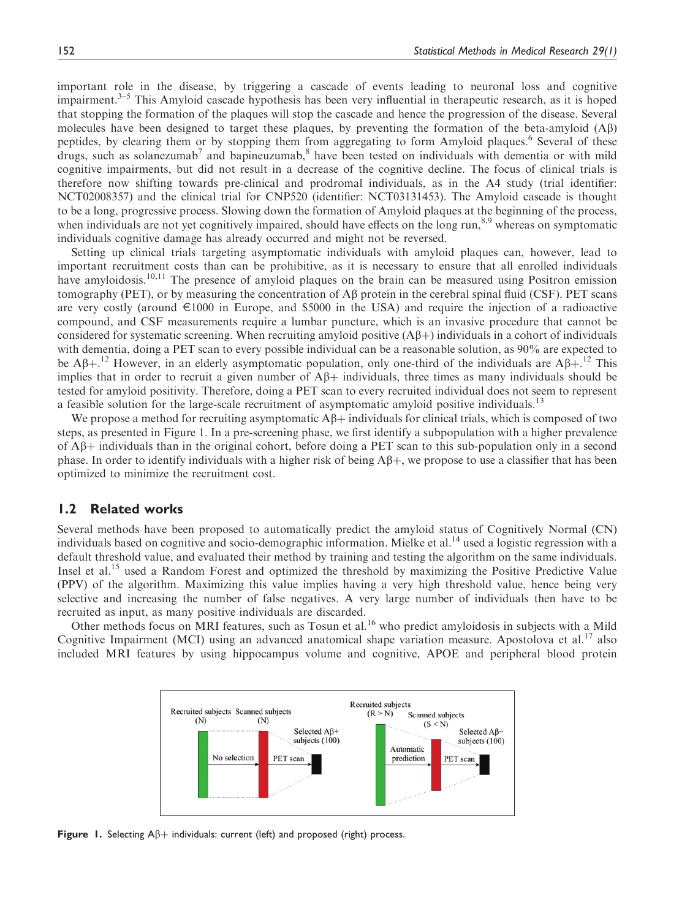important role in the disease, by triggering a cascade of events leading to neuronal loss and cognitive impairment. $3-5$  This Amyloid cascade hypothesis has been very influential in therapeutic research, as it is hoped that stopping the formation of the plaques will stop the cascade and hence the progression of the disease. Several molecules have been designed to target these plaques, by preventing the formation of the beta-amyloid (Ab) peptides, by clearing them or by stopping them from aggregating to form Amyloid plaques.<sup>6</sup> Several of these drugs, such as solanezumab<sup>7</sup> and bapineuzumab,<sup>8</sup> have been tested on individuals with dementia or with mild cognitive impairments, but did not result in a decrease of the cognitive decline. The focus of clinical trials is therefore now shifting towards pre-clinical and prodromal individuals, as in the A4 study (trial identifier: NCT02008357) and the clinical trial for CNP520 (identifier: NCT03131453). The Amyloid cascade is thought to be a long, progressive process. Slowing down the formation of Amyloid plaques at the beginning of the process, when individuals are not yet cognitively impaired, should have effects on the long run,<sup>8,9</sup> whereas on symptomatic individuals cognitive damage has already occurred and might not be reversed.

Setting up clinical trials targeting asymptomatic individuals with amyloid plaques can, however, lead to important recruitment costs than can be prohibitive, as it is necessary to ensure that all enrolled individuals have amyloidosis.<sup>10,11</sup> The presence of amyloid plaques on the brain can be measured using Positron emission tomography (PET), or by measuring the concentration of  $\overrightarrow{AB}$  protein in the cerebral spinal fluid (CSF). PET scans are very costly (around  $\epsilon$ 1000 in Europe, and \$5000 in the USA) and require the injection of a radioactive compound, and CSF measurements require a lumbar puncture, which is an invasive procedure that cannot be considered for systematic screening. When recruiting amyloid positive  $(A\beta+)$  individuals in a cohort of individuals with dementia, doing a PET scan to every possible individual can be a reasonable solution, as 90% are expected to be A $\beta$ +.<sup>12</sup> However, in an elderly asymptomatic population, only one-third of the individuals are A $\beta$ +.<sup>12</sup> This implies that in order to recruit a given number of  $A\beta$ + individuals, three times as many individuals should be tested for amyloid positivity. Therefore, doing a PET scan to every recruited individual does not seem to represent a feasible solution for the large-scale recruitment of asymptomatic amyloid positive individuals.<sup>13</sup>

We propose a method for recruiting asymptomatic  $A\beta$  individuals for clinical trials, which is composed of two steps, as presented in Figure 1. In a pre-screening phase, we first identify a subpopulation with a higher prevalence of  $\mathbf{A}\mathbf{\beta}+$  individuals than in the original cohort, before doing a PET scan to this sub-population only in a second phase. In order to identify individuals with a higher risk of being  $A\beta +$ , we propose to use a classifier that has been optimized to minimize the recruitment cost.

# 1.2 Related works

Several methods have been proposed to automatically predict the amyloid status of Cognitively Normal (CN) individuals based on cognitive and socio-demographic information. Mielke et al.<sup>14</sup> used a logistic regression with a default threshold value, and evaluated their method by training and testing the algorithm on the same individuals. Insel et al.<sup>15</sup> used a Random Forest and optimized the threshold by maximizing the Positive Predictive Value (PPV) of the algorithm. Maximizing this value implies having a very high threshold value, hence being very selective and increasing the number of false negatives. A very large number of individuals then have to be recruited as input, as many positive individuals are discarded.

Other methods focus on MRI features, such as Tosun et al.<sup>16</sup> who predict amyloidosis in subjects with a Mild Cognitive Impairment (MCI) using an advanced anatomical shape variation measure. Apostolova et al.<sup>17</sup> also included MRI features by using hippocampus volume and cognitive, APOE and peripheral blood protein



Figure 1. Selecting  $\mathsf{A}\beta +$  individuals: current (left) and proposed (right) process.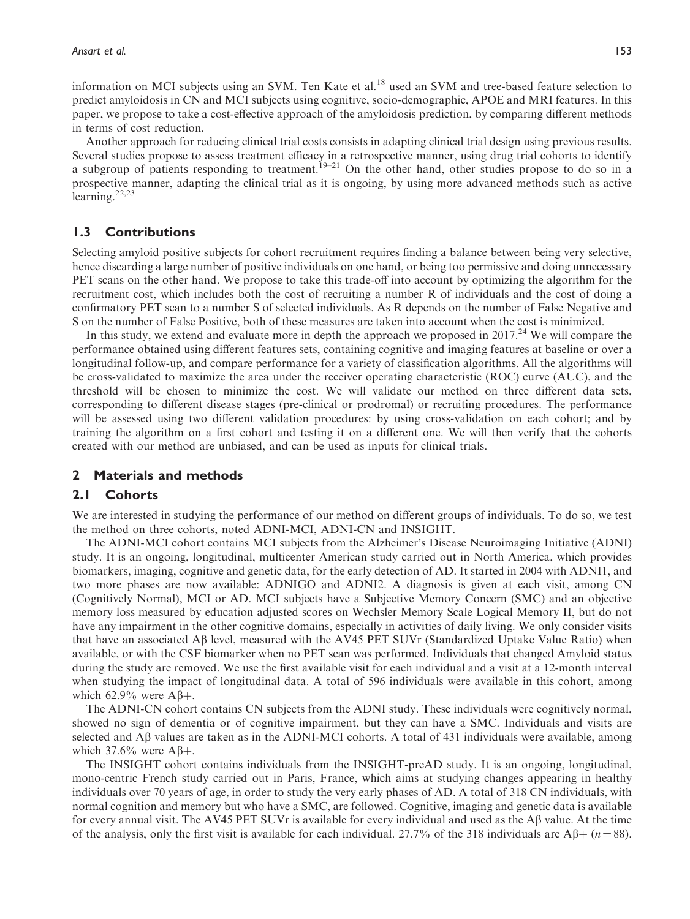information on MCI subjects using an SVM. Ten Kate et al.<sup>18</sup> used an SVM and tree-based feature selection to predict amyloidosis in CN and MCI subjects using cognitive, socio-demographic, APOE and MRI features. In this paper, we propose to take a cost-effective approach of the amyloidosis prediction, by comparing different methods in terms of cost reduction.

Another approach for reducing clinical trial costs consists in adapting clinical trial design using previous results. Several studies propose to assess treatment efficacy in a retrospective manner, using drug trial cohorts to identify a subgroup of patients responding to treatment.<sup>19–21</sup> On the other hand, other studies propose to do so in a prospective manner, adapting the clinical trial as it is ongoing, by using more advanced methods such as active learning. $22,23$ 

# 1.3 Contributions

Selecting amyloid positive subjects for cohort recruitment requires finding a balance between being very selective, hence discarding a large number of positive individuals on one hand, or being too permissive and doing unnecessary PET scans on the other hand. We propose to take this trade-off into account by optimizing the algorithm for the recruitment cost, which includes both the cost of recruiting a number R of individuals and the cost of doing a confirmatory PET scan to a number S of selected individuals. As R depends on the number of False Negative and S on the number of False Positive, both of these measures are taken into account when the cost is minimized.

In this study, we extend and evaluate more in depth the approach we proposed in  $2017<sup>24</sup>$  We will compare the performance obtained using different features sets, containing cognitive and imaging features at baseline or over a longitudinal follow-up, and compare performance for a variety of classification algorithms. All the algorithms will be cross-validated to maximize the area under the receiver operating characteristic (ROC) curve (AUC), and the threshold will be chosen to minimize the cost. We will validate our method on three different data sets, corresponding to different disease stages (pre-clinical or prodromal) or recruiting procedures. The performance will be assessed using two different validation procedures: by using cross-validation on each cohort; and by training the algorithm on a first cohort and testing it on a different one. We will then verify that the cohorts created with our method are unbiased, and can be used as inputs for clinical trials.

# 2 Materials and methods

# 2.1 Cohorts

We are interested in studying the performance of our method on different groups of individuals. To do so, we test the method on three cohorts, noted ADNI-MCI, ADNI-CN and INSIGHT.

The ADNI-MCI cohort contains MCI subjects from the Alzheimer's Disease Neuroimaging Initiative (ADNI) study. It is an ongoing, longitudinal, multicenter American study carried out in North America, which provides biomarkers, imaging, cognitive and genetic data, for the early detection of AD. It started in 2004 with ADNI1, and two more phases are now available: ADNIGO and ADNI2. A diagnosis is given at each visit, among CN (Cognitively Normal), MCI or AD. MCI subjects have a Subjective Memory Concern (SMC) and an objective memory loss measured by education adjusted scores on Wechsler Memory Scale Logical Memory II, but do not have any impairment in the other cognitive domains, especially in activities of daily living. We only consider visits that have an associated A $\beta$  level, measured with the AV45 PET SUVr (Standardized Uptake Value Ratio) when available, or with the CSF biomarker when no PET scan was performed. Individuals that changed Amyloid status during the study are removed. We use the first available visit for each individual and a visit at a 12-month interval when studying the impact of longitudinal data. A total of 596 individuals were available in this cohort, among which 62.9% were  $\mathbf{A}\mathbf{\beta+}$ .

The ADNI-CN cohort contains CN subjects from the ADNI study. These individuals were cognitively normal, showed no sign of dementia or of cognitive impairment, but they can have a SMC. Individuals and visits are selected and  $\widehat{A}$  values are taken as in the ADNI-MCI cohorts. A total of 431 individuals were available, among which 37.6% were  $A\beta+$ .

The INSIGHT cohort contains individuals from the INSIGHT-preAD study. It is an ongoing, longitudinal, mono-centric French study carried out in Paris, France, which aims at studying changes appearing in healthy individuals over 70 years of age, in order to study the very early phases of AD. A total of 318 CN individuals, with normal cognition and memory but who have a SMC, are followed. Cognitive, imaging and genetic data is available for every annual visit. The AV45 PET SUVr is available for every individual and used as the A $\beta$  value. At the time of the analysis, only the first visit is available for each individual. 27.7% of the 318 individuals are  $\mathbb{A}\beta + (n = 88)$ .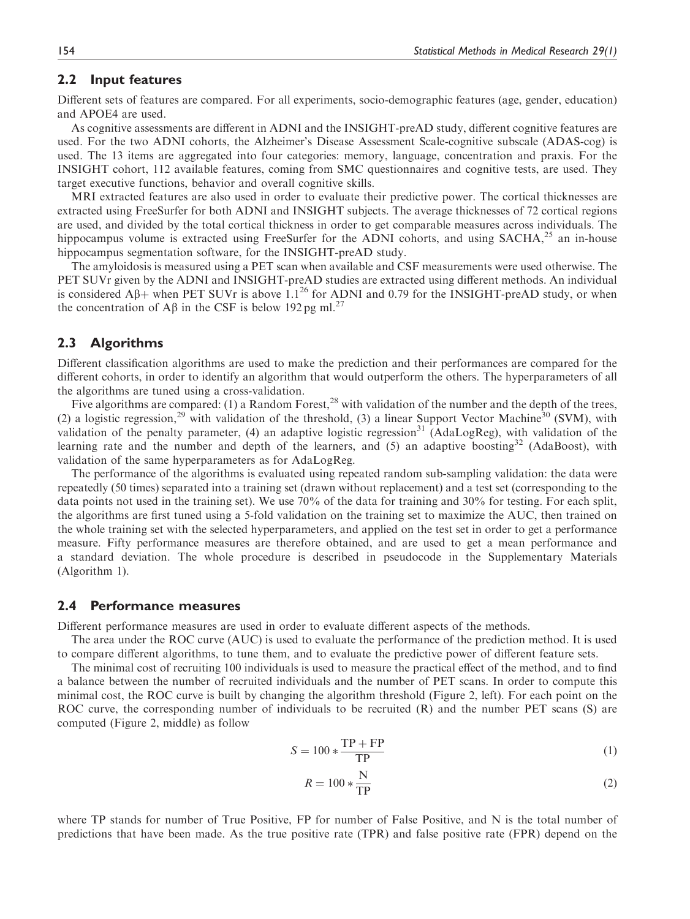# 2.2 Input features

Different sets of features are compared. For all experiments, socio-demographic features (age, gender, education) and APOE4 are used.

As cognitive assessments are different in ADNI and the INSIGHT-preAD study, different cognitive features are used. For the two ADNI cohorts, the Alzheimer's Disease Assessment Scale-cognitive subscale (ADAS-cog) is used. The 13 items are aggregated into four categories: memory, language, concentration and praxis. For the INSIGHT cohort, 112 available features, coming from SMC questionnaires and cognitive tests, are used. They target executive functions, behavior and overall cognitive skills.

MRI extracted features are also used in order to evaluate their predictive power. The cortical thicknesses are extracted using FreeSurfer for both ADNI and INSIGHT subjects. The average thicknesses of 72 cortical regions are used, and divided by the total cortical thickness in order to get comparable measures across individuals. The hippocampus volume is extracted using FreeSurfer for the ADNI cohorts, and using SACHA,<sup>25</sup> an in-house hippocampus segmentation software, for the INSIGHT-preAD study.

The amyloidosis is measured using a PET scan when available and CSF measurements were used otherwise. The PET SUVr given by the ADNI and INSIGHT-preAD studies are extracted using different methods. An individual is considered A $\beta$ + when PET SUVr is above 1.1<sup>26</sup> for ADNI and 0.79 for the INSIGHT-preAD study, or when the concentration of A $\beta$  in the CSF is below 192 pg ml.<sup>27</sup>

## 2.3 Algorithms

Different classification algorithms are used to make the prediction and their performances are compared for the different cohorts, in order to identify an algorithm that would outperform the others. The hyperparameters of all the algorithms are tuned using a cross-validation.

Five algorithms are compared: (1) a Random Forest,<sup>28</sup> with validation of the number and the depth of the trees, (2) a logistic regression,<sup>29</sup> with validation of the threshold, (3) a linear Support Vector Machine<sup>30</sup> (SVM), with validation of the penalty parameter, (4) an adaptive logistic regression<sup>31</sup> (AdaLogReg), with validation of the learning rate and the number and depth of the learners, and  $(5)$  an adaptive boosting<sup>32</sup> (AdaBoost), with validation of the same hyperparameters as for AdaLogReg.

The performance of the algorithms is evaluated using repeated random sub-sampling validation: the data were repeatedly (50 times) separated into a training set (drawn without replacement) and a test set (corresponding to the data points not used in the training set). We use 70% of the data for training and 30% for testing. For each split, the algorithms are first tuned using a 5-fold validation on the training set to maximize the AUC, then trained on the whole training set with the selected hyperparameters, and applied on the test set in order to get a performance measure. Fifty performance measures are therefore obtained, and are used to get a mean performance and a standard deviation. The whole procedure is described in pseudocode in the Supplementary Materials (Algorithm 1).

# 2.4 Performance measures

Different performance measures are used in order to evaluate different aspects of the methods.

The area under the ROC curve (AUC) is used to evaluate the performance of the prediction method. It is used to compare different algorithms, to tune them, and to evaluate the predictive power of different feature sets.

The minimal cost of recruiting 100 individuals is used to measure the practical effect of the method, and to find a balance between the number of recruited individuals and the number of PET scans. In order to compute this minimal cost, the ROC curve is built by changing the algorithm threshold (Figure 2, left). For each point on the ROC curve, the corresponding number of individuals to be recruited (R) and the number PET scans (S) are computed (Figure 2, middle) as follow

$$
S = 100 * \frac{\text{TP} + \text{FP}}{\text{TP}}\tag{1}
$$

$$
R = 100 * \frac{\text{N}}{\text{TP}}\tag{2}
$$

where TP stands for number of True Positive, FP for number of False Positive, and N is the total number of predictions that have been made. As the true positive rate (TPR) and false positive rate (FPR) depend on the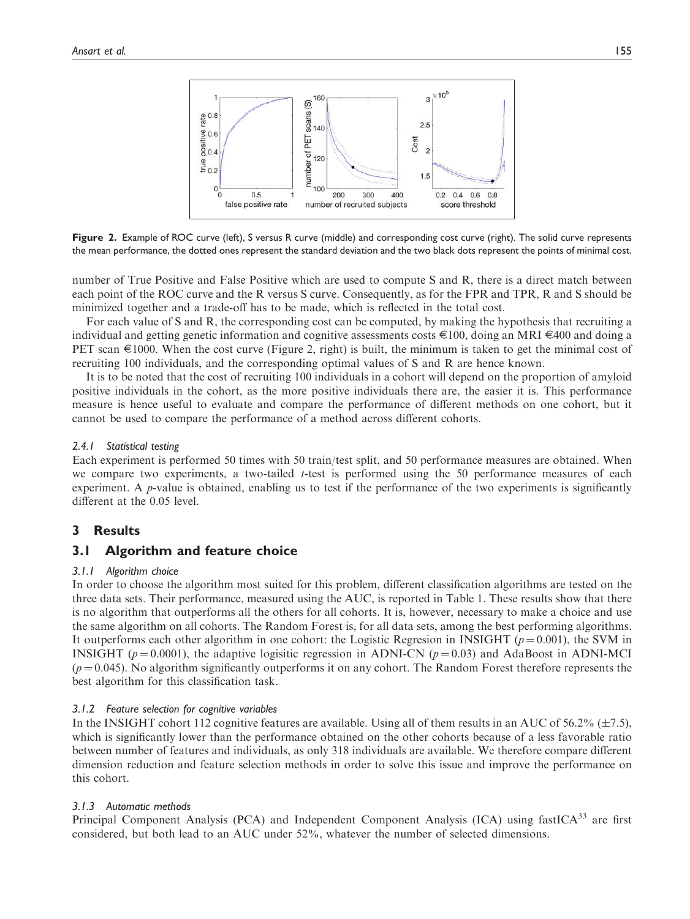

Figure 2. Example of ROC curve (left), S versus R curve (middle) and corresponding cost curve (right). The solid curve represents the mean performance, the dotted ones represent the standard deviation and the two black dots represent the points of minimal cost.

number of True Positive and False Positive which are used to compute S and R, there is a direct match between each point of the ROC curve and the R versus S curve. Consequently, as for the FPR and TPR, R and S should be minimized together and a trade-off has to be made, which is reflected in the total cost.

For each value of S and R, the corresponding cost can be computed, by making the hypothesis that recruiting a individual and getting genetic information and cognitive assessments costs E100, doing an MRI E400 and doing a PET scan  $\epsilon$ 1000. When the cost curve (Figure 2, right) is built, the minimum is taken to get the minimal cost of recruiting 100 individuals, and the corresponding optimal values of S and R are hence known.

It is to be noted that the cost of recruiting 100 individuals in a cohort will depend on the proportion of amyloid positive individuals in the cohort, as the more positive individuals there are, the easier it is. This performance measure is hence useful to evaluate and compare the performance of different methods on one cohort, but it cannot be used to compare the performance of a method across different cohorts.

## 2.4.1 Statistical testing

Each experiment is performed 50 times with 50 train/test split, and 50 performance measures are obtained. When we compare two experiments, a two-tailed *t*-test is performed using the 50 performance measures of each experiment. A  $p$ -value is obtained, enabling us to test if the performance of the two experiments is significantly different at the 0.05 level.

# 3 Results

# 3.1 Algorithm and feature choice

## 3.1.1 Algorithm choice

In order to choose the algorithm most suited for this problem, different classification algorithms are tested on the three data sets. Their performance, measured using the AUC, is reported in Table 1. These results show that there is no algorithm that outperforms all the others for all cohorts. It is, however, necessary to make a choice and use the same algorithm on all cohorts. The Random Forest is, for all data sets, among the best performing algorithms. It outperforms each other algorithm in one cohort: the Logistic Regresion in INSIGHT ( $p = 0.001$ ), the SVM in INSIGHT ( $p = 0.0001$ ), the adaptive logisitic regression in ADNI-CN ( $p = 0.03$ ) and AdaBoost in ADNI-MCI  $(p=0.045)$ . No algorithm significantly outperforms it on any cohort. The Random Forest therefore represents the best algorithm for this classification task.

# 3.1.2 Feature selection for cognitive variables

In the INSIGHT cohort 112 cognitive features are available. Using all of them results in an AUC of 56.2% ( $\pm$ 7.5), which is significantly lower than the performance obtained on the other cohorts because of a less favorable ratio between number of features and individuals, as only 318 individuals are available. We therefore compare different dimension reduction and feature selection methods in order to solve this issue and improve the performance on this cohort.

# 3.1.3 Automatic methods

Principal Component Analysis (PCA) and Independent Component Analysis (ICA) using fastICA<sup>33</sup> are first considered, but both lead to an AUC under 52%, whatever the number of selected dimensions.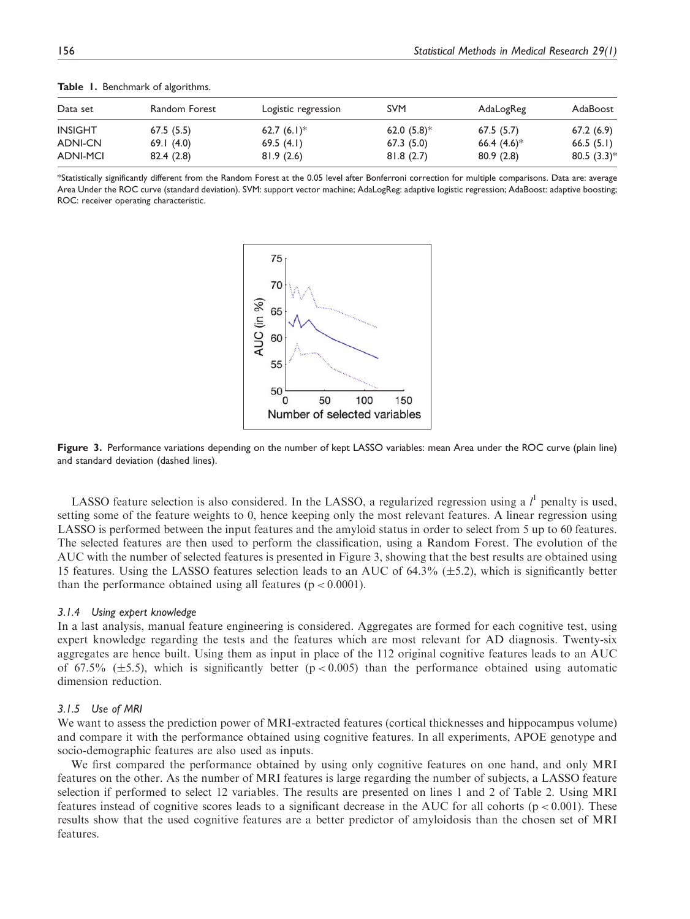| Data set        | Random Forest | Logistic regression | <b>SVM</b>                | AdaLogReg                 | AdaBoost                  |
|-----------------|---------------|---------------------|---------------------------|---------------------------|---------------------------|
| <b>INSIGHT</b>  | 67.5(5.5)     | 62.7 $(6.1)^*$      | 62.0 $(5.8)$ <sup>*</sup> | 67.5(5.7)                 | 67.2(6.9)                 |
| <b>ADNI-CN</b>  | 69.1(4.0)     | 69.5 $(4.1)$        | 67.3(5.0)                 | 66.4 $(4.6)$ <sup>*</sup> | 66.5(5.1)                 |
| <b>ADNI-MCI</b> | 82.4(2.8)     | 81.9(2.6)           | 81.8(2.7)                 | 80.9(2.8)                 | 80.5 $(3.3)$ <sup>*</sup> |

Table 1. Benchmark of algorithms.

\*Statistically significantly different from the Random Forest at the 0.05 level after Bonferroni correction for multiple comparisons. Data are: average Area Under the ROC curve (standard deviation). SVM: support vector machine; AdaLogReg: adaptive logistic regression; AdaBoost: adaptive boosting; ROC: receiver operating characteristic.



Figure 3. Performance variations depending on the number of kept LASSO variables: mean Area under the ROC curve (plain line) and standard deviation (dashed lines).

LASSO feature selection is also considered. In the LASSO, a regularized regression using a  $l^1$  penalty is used, setting some of the feature weights to 0, hence keeping only the most relevant features. A linear regression using LASSO is performed between the input features and the amyloid status in order to select from 5 up to 60 features. The selected features are then used to perform the classification, using a Random Forest. The evolution of the AUC with the number of selected features is presented in Figure 3, showing that the best results are obtained using 15 features. Using the LASSO features selection leads to an AUC of  $64.3\%$  ( $\pm$ 5.2), which is significantly better than the performance obtained using all features ( $p < 0.0001$ ).

#### 3.1.4 Using expert knowledge

In a last analysis, manual feature engineering is considered. Aggregates are formed for each cognitive test, using expert knowledge regarding the tests and the features which are most relevant for AD diagnosis. Twenty-six aggregates are hence built. Using them as input in place of the 112 original cognitive features leads to an AUC of 67.5% ( $\pm$ 5.5), which is significantly better (p < 0.005) than the performance obtained using automatic dimension reduction.

### 3.1.5 Use of MRI

We want to assess the prediction power of MRI-extracted features (cortical thicknesses and hippocampus volume) and compare it with the performance obtained using cognitive features. In all experiments, APOE genotype and socio-demographic features are also used as inputs.

We first compared the performance obtained by using only cognitive features on one hand, and only MRI features on the other. As the number of MRI features is large regarding the number of subjects, a LASSO feature selection if performed to select 12 variables. The results are presented on lines 1 and 2 of Table 2. Using MRI features instead of cognitive scores leads to a significant decrease in the AUC for all cohorts ( $p < 0.001$ ). These results show that the used cognitive features are a better predictor of amyloidosis than the chosen set of MRI features.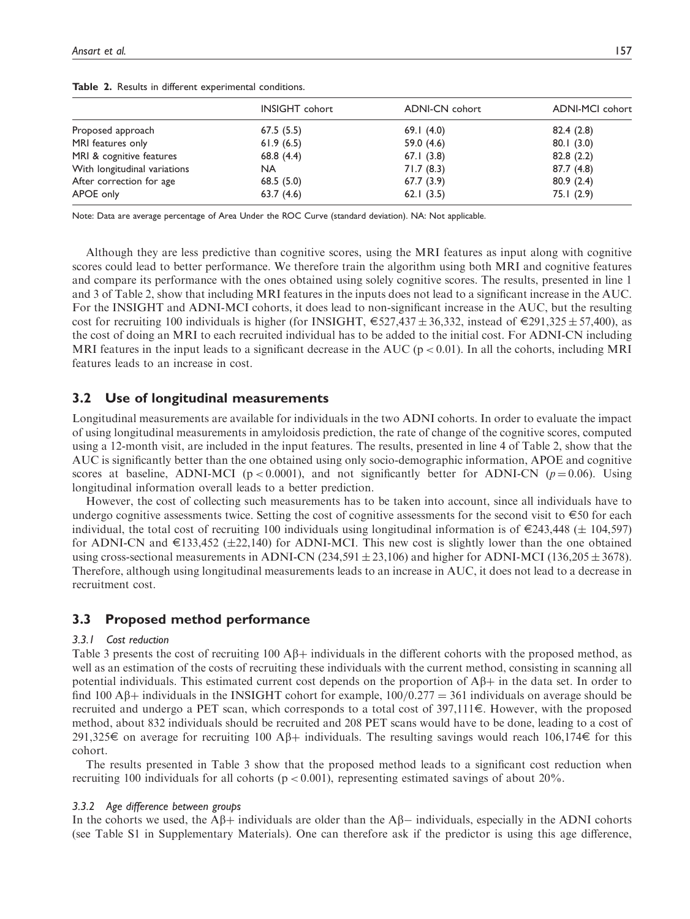|                              | <b>INSIGHT</b> cohort | <b>ADNI-CN</b> cohort | <b>ADNI-MCI</b> cohort |
|------------------------------|-----------------------|-----------------------|------------------------|
| Proposed approach            | 67.5(5.5)             | 69.1(4.0)             | 82.4(2.8)              |
| MRI features only            | 61.9(6.5)             | 59.0 $(4.6)$          | 80.1(3.0)              |
| MRI & cognitive features     | 68.8 $(4.4)$          | 67.1(3.8)             | 82.8(2.2)              |
| With longitudinal variations | <b>NA</b>             | 71.7(8.3)             | 87.7 (4.8)             |
| After correction for age     | 68.5(5.0)             | 67.7(3.9)             | 80.9(2.4)              |
| APOE only                    | 63.7(4.6)             | 62.1(3.5)             | 75.1(2.9)              |

Table 2. Results in different experimental conditions.

Note: Data are average percentage of Area Under the ROC Curve (standard deviation). NA: Not applicable.

Although they are less predictive than cognitive scores, using the MRI features as input along with cognitive scores could lead to better performance. We therefore train the algorithm using both MRI and cognitive features and compare its performance with the ones obtained using solely cognitive scores. The results, presented in line 1 and 3 of Table 2, show that including MRI features in the inputs does not lead to a significant increase in the AUC. For the INSIGHT and ADNI-MCI cohorts, it does lead to non-significant increase in the AUC, but the resulting cost for recruiting 100 individuals is higher (for INSIGHT,  $\epsilon$ 527,437  $\pm$  36,332, instead of  $\epsilon$ 291,325  $\pm$  57,400), as the cost of doing an MRI to each recruited individual has to be added to the initial cost. For ADNI-CN including MRI features in the input leads to a significant decrease in the AUC ( $p < 0.01$ ). In all the cohorts, including MRI features leads to an increase in cost.

# 3.2 Use of longitudinal measurements

Longitudinal measurements are available for individuals in the two ADNI cohorts. In order to evaluate the impact of using longitudinal measurements in amyloidosis prediction, the rate of change of the cognitive scores, computed using a 12-month visit, are included in the input features. The results, presented in line 4 of Table 2, show that the AUC is significantly better than the one obtained using only socio-demographic information, APOE and cognitive scores at baseline, ADNI-MCI ( $p < 0.0001$ ), and not significantly better for ADNI-CN ( $p = 0.06$ ). Using longitudinal information overall leads to a better prediction.

However, the cost of collecting such measurements has to be taken into account, since all individuals have to undergo cognitive assessments twice. Setting the cost of cognitive assessments for the second visit to  $\epsilon$ 50 for each individual, the total cost of recruiting 100 individuals using longitudinal information is of  $\epsilon$ 243,448 ( $\pm$  104,597) for ADNI-CN and  $\epsilon$ 133,452 ( $\pm$ 22,140) for ADNI-MCI. This new cost is slightly lower than the one obtained using cross-sectional measurements in ADNI-CN  $(234,591 \pm 23,106)$  and higher for ADNI-MCI (136,205  $\pm$  3678). Therefore, although using longitudinal measurements leads to an increase in AUC, it does not lead to a decrease in recruitment cost.

# 3.3 Proposed method performance

### 3.3.1 Cost reduction

Table 3 presents the cost of recruiting 100  $\mathbf{A}\mathbf{\beta}+$  individuals in the different cohorts with the proposed method, as well as an estimation of the costs of recruiting these individuals with the current method, consisting in scanning all potential individuals. This estimated current cost depends on the proportion of  $A\beta$ + in the data set. In order to find 100 A $\beta$ + individuals in the INSIGHT cohort for example, 100/0.277 = 361 individuals on average should be recruited and undergo a PET scan, which corresponds to a total cost of  $397,111 \in$ . However, with the proposed method, about 832 individuals should be recruited and 208 PET scans would have to be done, leading to a cost of 291,325€ on average for recruiting 100 A $\beta$ + individuals. The resulting savings would reach 106,174€ for this cohort.

The results presented in Table 3 show that the proposed method leads to a significant cost reduction when recruiting 100 individuals for all cohorts ( $p < 0.001$ ), representing estimated savings of about 20%.

#### 3.3.2 Age difference between groups

In the cohorts we used, the  $\mathbf{A}\beta + \text{individuals}$  are older than the  $\mathbf{A}\beta - \text{individuals}$ , especially in the ADNI cohorts (see Table S1 in Supplementary Materials). One can therefore ask if the predictor is using this age difference,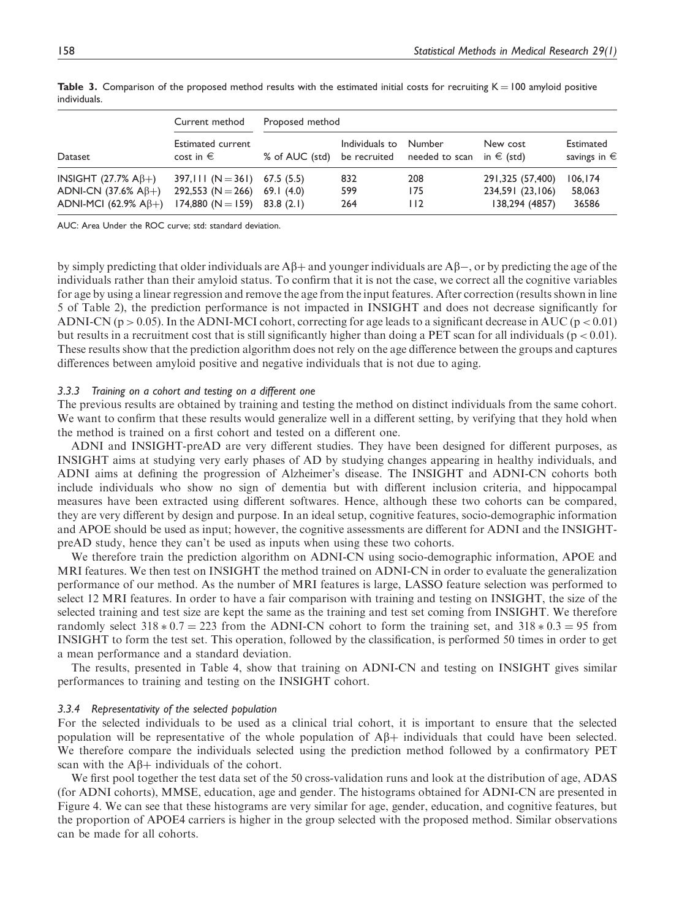|                                                                                                    | Current method                                                                                  | Proposed method |                   |                                                                          |                                                        |                                    |
|----------------------------------------------------------------------------------------------------|-------------------------------------------------------------------------------------------------|-----------------|-------------------|--------------------------------------------------------------------------|--------------------------------------------------------|------------------------------------|
| Dataset                                                                                            | <b>Estimated current</b><br>cost in $\epsilon$                                                  |                 | Individuals to    | Number<br>% of AUC (std) be recruited needed to scan in $\epsilon$ (std) | New cost                                               | Estimated<br>savings in $\epsilon$ |
| INSIGHT (27.7% $\mathsf{A}\beta$ +)<br>ADNI-CN (37.6% A $\beta$ +)<br>ADNI-MCI (62.9% A $\beta$ +) | 397, III (N = 361) 67.5 (5.5)<br>292,553 (N = 266) 69.1 (4.0)<br>$174,880$ (N = 159) 83.8 (2.1) |                 | 832<br>599<br>264 | 208<br>175<br>112                                                        | 291,325 (57,400)<br>234,591 (23,106)<br>138,294 (4857) | 106, 174<br>58,063<br>36586        |

Table 3. Comparison of the proposed method results with the estimated initial costs for recruiting  $K = 100$  amyloid positive individuals.

AUC: Area Under the ROC curve; std: standard deviation.

by simply predicting that older individuals are  $A\beta$  and younger individuals are  $A\beta$  –, or by predicting the age of the individuals rather than their amyloid status. To confirm that it is not the case, we correct all the cognitive variables for age by using a linear regression and remove the age from the input features. After correction (results shown in line 5 of Table 2), the prediction performance is not impacted in INSIGHT and does not decrease significantly for ADNI-CN ( $p > 0.05$ ). In the ADNI-MCI cohort, correcting for age leads to a significant decrease in AUC ( $p < 0.01$ ) but results in a recruitment cost that is still significantly higher than doing a PET scan for all individuals ( $p < 0.01$ ). These results show that the prediction algorithm does not rely on the age difference between the groups and captures differences between amyloid positive and negative individuals that is not due to aging.

### 3.3.3 Training on a cohort and testing on a different one

The previous results are obtained by training and testing the method on distinct individuals from the same cohort. We want to confirm that these results would generalize well in a different setting, by verifying that they hold when the method is trained on a first cohort and tested on a different one.

ADNI and INSIGHT-preAD are very different studies. They have been designed for different purposes, as INSIGHT aims at studying very early phases of AD by studying changes appearing in healthy individuals, and ADNI aims at defining the progression of Alzheimer's disease. The INSIGHT and ADNI-CN cohorts both include individuals who show no sign of dementia but with different inclusion criteria, and hippocampal measures have been extracted using different softwares. Hence, although these two cohorts can be compared, they are very different by design and purpose. In an ideal setup, cognitive features, socio-demographic information and APOE should be used as input; however, the cognitive assessments are different for ADNI and the INSIGHTpreAD study, hence they can't be used as inputs when using these two cohorts.

We therefore train the prediction algorithm on ADNI-CN using socio-demographic information, APOE and MRI features. We then test on INSIGHT the method trained on ADNI-CN in order to evaluate the generalization performance of our method. As the number of MRI features is large, LASSO feature selection was performed to select 12 MRI features. In order to have a fair comparison with training and testing on INSIGHT, the size of the selected training and test size are kept the same as the training and test set coming from INSIGHT. We therefore randomly select  $318 * 0.7 = 223$  from the ADNI-CN cohort to form the training set, and  $318 * 0.3 = 95$  from INSIGHT to form the test set. This operation, followed by the classification, is performed 50 times in order to get a mean performance and a standard deviation.

The results, presented in Table 4, show that training on ADNI-CN and testing on INSIGHT gives similar performances to training and testing on the INSIGHT cohort.

### 3.3.4 Representativity of the selected population

For the selected individuals to be used as a clinical trial cohort, it is important to ensure that the selected population will be representative of the whole population of  $A\beta$ + individuals that could have been selected. We therefore compare the individuals selected using the prediction method followed by a confirmatory PET scan with the  $\mathbf{A}\beta + \text{individuals}$  of the cohort.

We first pool together the test data set of the 50 cross-validation runs and look at the distribution of age, ADAS (for ADNI cohorts), MMSE, education, age and gender. The histograms obtained for ADNI-CN are presented in Figure 4. We can see that these histograms are very similar for age, gender, education, and cognitive features, but the proportion of APOE4 carriers is higher in the group selected with the proposed method. Similar observations can be made for all cohorts.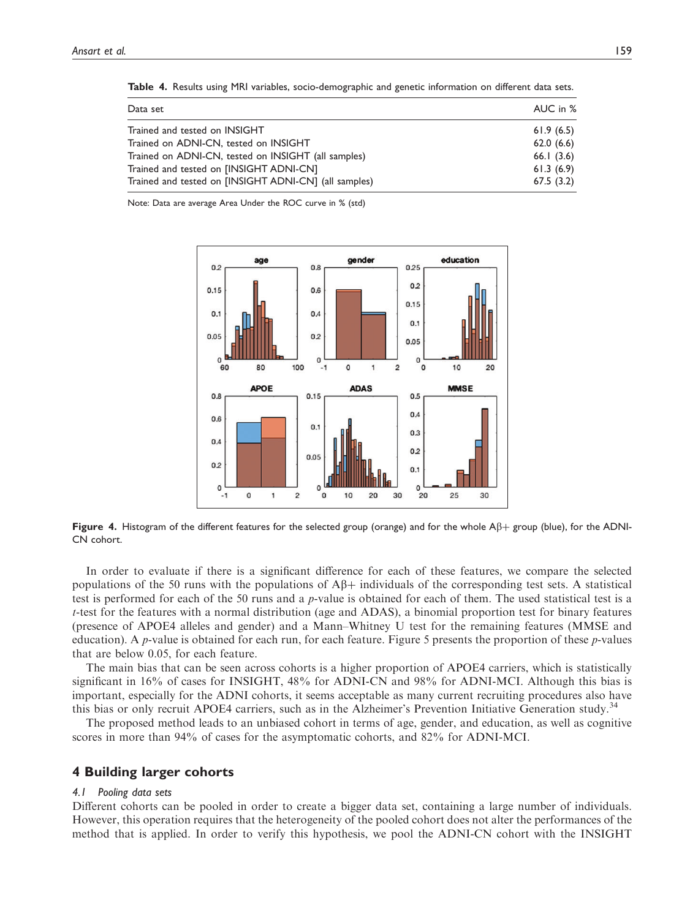| Data set                                              | AUC in %  |
|-------------------------------------------------------|-----------|
| Trained and tested on INSIGHT                         | 61.9(6.5) |
| Trained on ADNI-CN, tested on INSIGHT                 | 62.0(6.6) |
| Trained on ADNI-CN, tested on INSIGHT (all samples)   | 66.1(3.6) |
| Trained and tested on [INSIGHT ADNI-CN]               | 61.3(6.9) |
| Trained and tested on [INSIGHT ADNI-CN] (all samples) | 67.5(3.2) |

Table 4. Results using MRI variables, socio-demographic and genetic information on different data sets.

Note: Data are average Area Under the ROC curve in % (std)



Figure 4. Histogram of the different features for the selected group (orange) and for the whole  $A\beta$ + group (blue), for the ADNI-CN cohort.

In order to evaluate if there is a significant difference for each of these features, we compare the selected populations of the 50 runs with the populations of  $\mathbf{A}\mathbf{B}+$  individuals of the corresponding test sets. A statistical test is performed for each of the 50 runs and a p-value is obtained for each of them. The used statistical test is a t-test for the features with a normal distribution (age and ADAS), a binomial proportion test for binary features (presence of APOE4 alleles and gender) and a Mann–Whitney U test for the remaining features (MMSE and education). A p-value is obtained for each run, for each feature. Figure 5 presents the proportion of these p-values that are below 0.05, for each feature.

The main bias that can be seen across cohorts is a higher proportion of APOE4 carriers, which is statistically significant in 16% of cases for INSIGHT, 48% for ADNI-CN and 98% for ADNI-MCI. Although this bias is important, especially for the ADNI cohorts, it seems acceptable as many current recruiting procedures also have this bias or only recruit APOE4 carriers, such as in the Alzheimer's Prevention Initiative Generation study.<sup>34</sup>

The proposed method leads to an unbiased cohort in terms of age, gender, and education, as well as cognitive scores in more than 94% of cases for the asymptomatic cohorts, and 82% for ADNI-MCI.

## 4 Building larger cohorts

#### 4.1 Pooling data sets

Different cohorts can be pooled in order to create a bigger data set, containing a large number of individuals. However, this operation requires that the heterogeneity of the pooled cohort does not alter the performances of the method that is applied. In order to verify this hypothesis, we pool the ADNI-CN cohort with the INSIGHT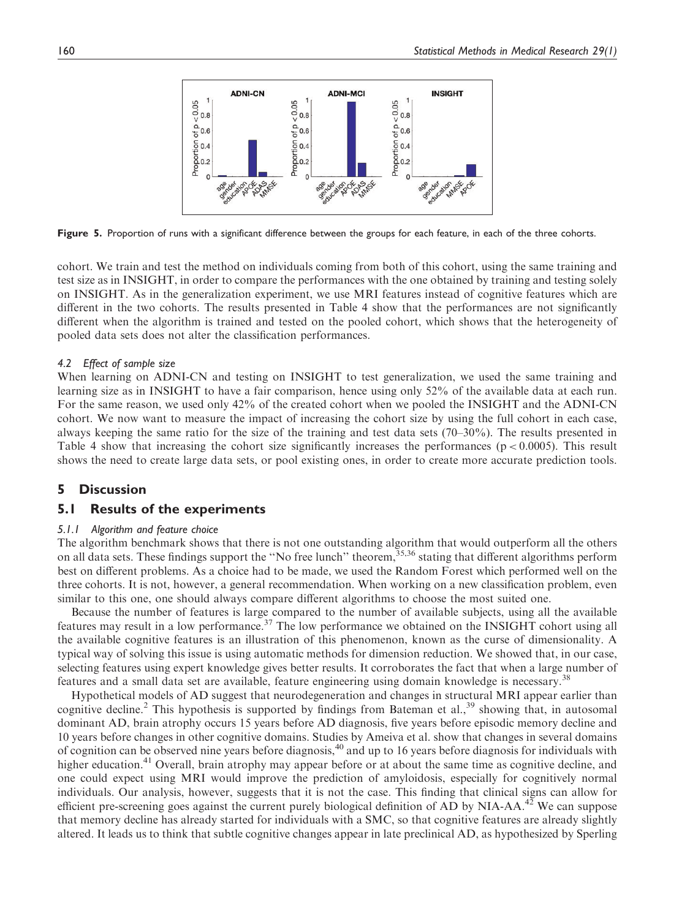

Figure 5. Proportion of runs with a significant difference between the groups for each feature, in each of the three cohorts.

cohort. We train and test the method on individuals coming from both of this cohort, using the same training and test size as in INSIGHT, in order to compare the performances with the one obtained by training and testing solely on INSIGHT. As in the generalization experiment, we use MRI features instead of cognitive features which are different in the two cohorts. The results presented in Table 4 show that the performances are not significantly different when the algorithm is trained and tested on the pooled cohort, which shows that the heterogeneity of pooled data sets does not alter the classification performances.

### 4.2 Effect of sample size

When learning on ADNI-CN and testing on INSIGHT to test generalization, we used the same training and learning size as in INSIGHT to have a fair comparison, hence using only 52% of the available data at each run. For the same reason, we used only 42% of the created cohort when we pooled the INSIGHT and the ADNI-CN cohort. We now want to measure the impact of increasing the cohort size by using the full cohort in each case, always keeping the same ratio for the size of the training and test data sets (70–30%). The results presented in Table 4 show that increasing the cohort size significantly increases the performances ( $p < 0.0005$ ). This result shows the need to create large data sets, or pool existing ones, in order to create more accurate prediction tools.

# 5 Discussion

# 5.1 Results of the experiments

#### 5.1.1 Algorithm and feature choice

The algorithm benchmark shows that there is not one outstanding algorithm that would outperform all the others on all data sets. These findings support the "No free lunch" theorem,<sup>35,36</sup> stating that different algorithms perform best on different problems. As a choice had to be made, we used the Random Forest which performed well on the three cohorts. It is not, however, a general recommendation. When working on a new classification problem, even similar to this one, one should always compare different algorithms to choose the most suited one.

Because the number of features is large compared to the number of available subjects, using all the available features may result in a low performance.<sup>37</sup> The low performance we obtained on the INSIGHT cohort using all the available cognitive features is an illustration of this phenomenon, known as the curse of dimensionality. A typical way of solving this issue is using automatic methods for dimension reduction. We showed that, in our case, selecting features using expert knowledge gives better results. It corroborates the fact that when a large number of features and a small data set are available, feature engineering using domain knowledge is necessary.<sup>38</sup>

Hypothetical models of AD suggest that neurodegeneration and changes in structural MRI appear earlier than cognitive decline.<sup>2</sup> This hypothesis is supported by findings from Bateman et al., $39$  showing that, in autosomal dominant AD, brain atrophy occurs 15 years before AD diagnosis, five years before episodic memory decline and 10 years before changes in other cognitive domains. Studies by Ameiva et al. show that changes in several domains of cognition can be observed nine years before diagnosis,<sup>40</sup> and up to 16 years before diagnosis for individuals with higher education.<sup>41</sup> Overall, brain atrophy may appear before or at about the same time as cognitive decline, and one could expect using MRI would improve the prediction of amyloidosis, especially for cognitively normal individuals. Our analysis, however, suggests that it is not the case. This finding that clinical signs can allow for efficient pre-screening goes against the current purely biological definition of AD by NIA-AA.<sup>42</sup> We can suppose that memory decline has already started for individuals with a SMC, so that cognitive features are already slightly altered. It leads us to think that subtle cognitive changes appear in late preclinical AD, as hypothesized by Sperling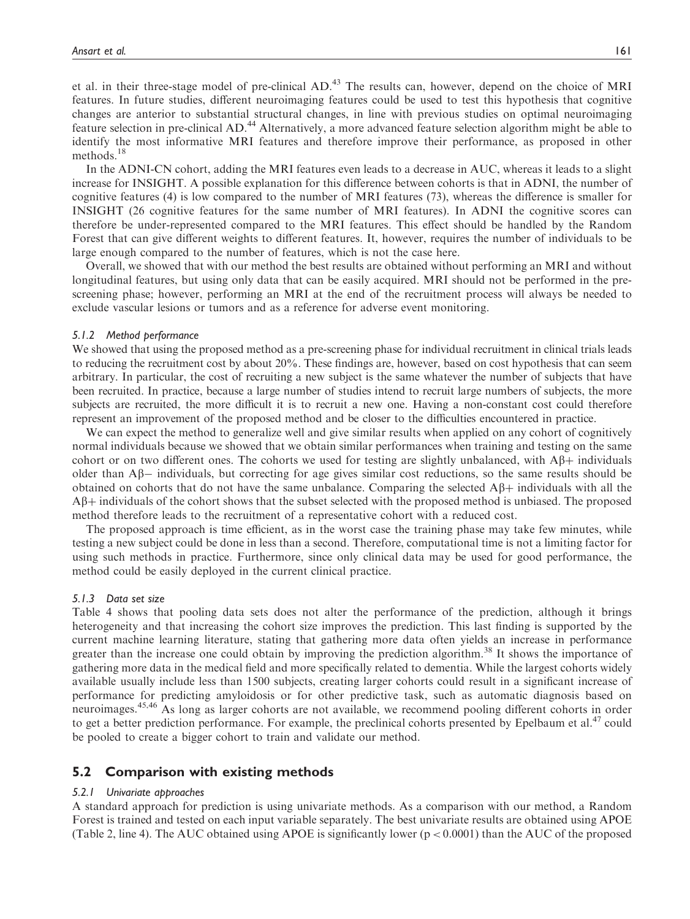et al. in their three-stage model of pre-clinical AD.<sup>43</sup> The results can, however, depend on the choice of MRI features. In future studies, different neuroimaging features could be used to test this hypothesis that cognitive changes are anterior to substantial structural changes, in line with previous studies on optimal neuroimaging feature selection in pre-clinical AD.<sup>44</sup> Alternatively, a more advanced feature selection algorithm might be able to identify the most informative MRI features and therefore improve their performance, as proposed in other methods.<sup>18</sup>

In the ADNI-CN cohort, adding the MRI features even leads to a decrease in AUC, whereas it leads to a slight increase for INSIGHT. A possible explanation for this difference between cohorts is that in ADNI, the number of cognitive features (4) is low compared to the number of MRI features (73), whereas the difference is smaller for INSIGHT (26 cognitive features for the same number of MRI features). In ADNI the cognitive scores can therefore be under-represented compared to the MRI features. This effect should be handled by the Random Forest that can give different weights to different features. It, however, requires the number of individuals to be large enough compared to the number of features, which is not the case here.

Overall, we showed that with our method the best results are obtained without performing an MRI and without longitudinal features, but using only data that can be easily acquired. MRI should not be performed in the prescreening phase; however, performing an MRI at the end of the recruitment process will always be needed to exclude vascular lesions or tumors and as a reference for adverse event monitoring.

### 5.1.2 Method performance

We showed that using the proposed method as a pre-screening phase for individual recruitment in clinical trials leads to reducing the recruitment cost by about 20%. These findings are, however, based on cost hypothesis that can seem arbitrary. In particular, the cost of recruiting a new subject is the same whatever the number of subjects that have been recruited. In practice, because a large number of studies intend to recruit large numbers of subjects, the more subjects are recruited, the more difficult it is to recruit a new one. Having a non-constant cost could therefore represent an improvement of the proposed method and be closer to the difficulties encountered in practice.

We can expect the method to generalize well and give similar results when applied on any cohort of cognitively normal individuals because we showed that we obtain similar performances when training and testing on the same cohort or on two different ones. The cohorts we used for testing are slightly unbalanced, with  $A\beta$ + individuals older than  $\mathbf{A}\mathbf{\beta}$  individuals, but correcting for age gives similar cost reductions, so the same results should be obtained on cohorts that do not have the same unbalance. Comparing the selected  $\mathbf{A}\beta$ + individuals with all the  $A\beta$ + individuals of the cohort shows that the subset selected with the proposed method is unbiased. The proposed method therefore leads to the recruitment of a representative cohort with a reduced cost.

The proposed approach is time efficient, as in the worst case the training phase may take few minutes, while testing a new subject could be done in less than a second. Therefore, computational time is not a limiting factor for using such methods in practice. Furthermore, since only clinical data may be used for good performance, the method could be easily deployed in the current clinical practice.

### 5.1.3 Data set size

Table 4 shows that pooling data sets does not alter the performance of the prediction, although it brings heterogeneity and that increasing the cohort size improves the prediction. This last finding is supported by the current machine learning literature, stating that gathering more data often yields an increase in performance greater than the increase one could obtain by improving the prediction algorithm.<sup>38</sup> It shows the importance of gathering more data in the medical field and more specifically related to dementia. While the largest cohorts widely available usually include less than 1500 subjects, creating larger cohorts could result in a significant increase of performance for predicting amyloidosis or for other predictive task, such as automatic diagnosis based on neuroimages.45,46 As long as larger cohorts are not available, we recommend pooling different cohorts in order to get a better prediction performance. For example, the preclinical cohorts presented by Epelbaum et al.<sup>47</sup> could be pooled to create a bigger cohort to train and validate our method.

# 5.2 Comparison with existing methods

### 5.2.1 Univariate approaches

A standard approach for prediction is using univariate methods. As a comparison with our method, a Random Forest is trained and tested on each input variable separately. The best univariate results are obtained using APOE (Table 2, line 4). The AUC obtained using APOE is significantly lower ( $p < 0.0001$ ) than the AUC of the proposed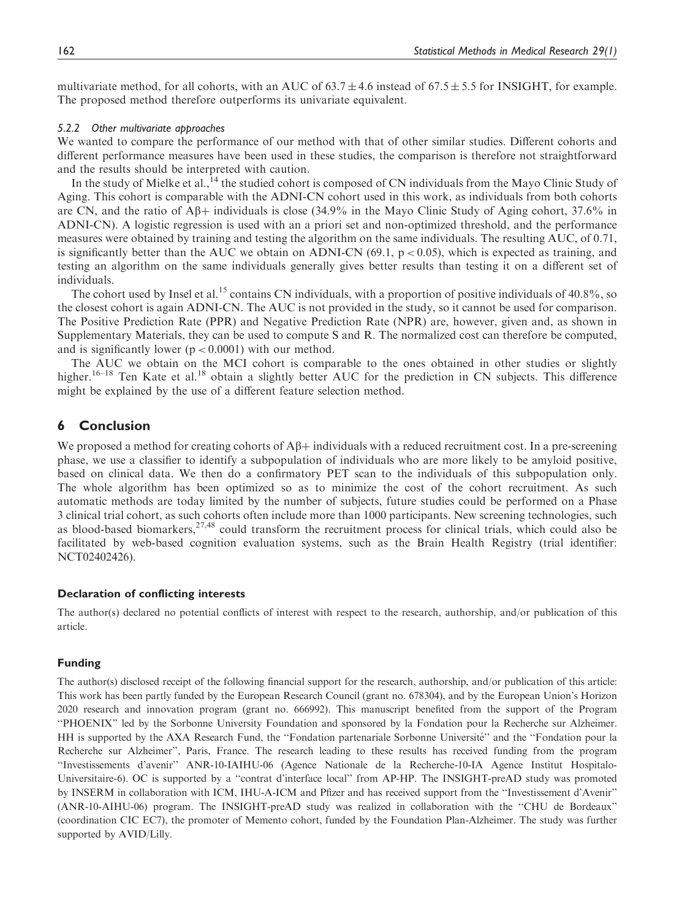multivariate method, for all cohorts, with an AUC of  $63.7 \pm 4.6$  instead of  $67.5 \pm 5.5$  for INSIGHT, for example. The proposed method therefore outperforms its univariate equivalent.

### 5.2.2 Other multivariate approaches

We wanted to compare the performance of our method with that of other similar studies. Different cohorts and different performance measures have been used in these studies, the comparison is therefore not straightforward and the results should be interpreted with caution.

In the study of Mielke et al.,  $^{14}$  the studied cohort is composed of CN individuals from the Mayo Clinic Study of Aging. This cohort is comparable with the ADNI-CN cohort used in this work, as individuals from both cohorts are CN, and the ratio of  $\mathbb{A}\beta$ + individuals is close (34.9% in the Mayo Clinic Study of Aging cohort, 37.6% in ADNI-CN). A logistic regression is used with an a priori set and non-optimized threshold, and the performance measures were obtained by training and testing the algorithm on the same individuals. The resulting AUC, of 0.71, is significantly better than the AUC we obtain on ADNI-CN (69.1,  $p < 0.05$ ), which is expected as training, and testing an algorithm on the same individuals generally gives better results than testing it on a different set of individuals.

The cohort used by Insel et al.<sup>15</sup> contains CN individuals, with a proportion of positive individuals of 40.8%, so the closest cohort is again ADNI-CN. The AUC is not provided in the study, so it cannot be used for comparison. The Positive Prediction Rate (PPR) and Negative Prediction Rate (NPR) are, however, given and, as shown in Supplementary Materials, they can be used to compute S and R. The normalized cost can therefore be computed, and is significantly lower  $(p < 0.0001)$  with our method.

The AUC we obtain on the MCI cohort is comparable to the ones obtained in other studies or slightly higher.<sup>16–18</sup> Ten Kate et al.<sup>18</sup> obtain a slightly better AUC for the prediction in CN subjects. This difference might be explained by the use of a different feature selection method.

# 6 Conclusion

We proposed a method for creating cohorts of  $\mathbf{A}\beta + \mathbf{individuals}$  with a reduced recruitment cost. In a pre-screening phase, we use a classifier to identify a subpopulation of individuals who are more likely to be amyloid positive, based on clinical data. We then do a confirmatory PET scan to the individuals of this subpopulation only. The whole algorithm has been optimized so as to minimize the cost of the cohort recruitment. As such automatic methods are today limited by the number of subjects, future studies could be performed on a Phase 3 clinical trial cohort, as such cohorts often include more than 1000 participants. New screening technologies, such as blood-based biomarkers,  $27,48$  could transform the recruitment process for clinical trials, which could also be facilitated by web-based cognition evaluation systems, such as the Brain Health Registry (trial identifier: NCT02402426).

## Declaration of conflicting interests

The author(s) declared no potential conflicts of interest with respect to the research, authorship, and/or publication of this article.

### Funding

The author(s) disclosed receipt of the following financial support for the research, authorship, and/or publication of this article: This work has been partly funded by the European Research Council (grant no. 678304), and by the European Union's Horizon 2020 research and innovation program (grant no. 666992). This manuscript benefited from the support of the Program ''PHOENIX'' led by the Sorbonne University Foundation and sponsored by la Fondation pour la Recherche sur Alzheimer. HH is supported by the AXA Research Fund, the "Fondation partenariale Sorbonne Université" and the "Fondation pour la Recherche sur Alzheimer'', Paris, France. The research leading to these results has received funding from the program ''Investissements d'avenir'' ANR-10-IAIHU-06 (Agence Nationale de la Recherche-10-IA Agence Institut Hospitalo-Universitaire-6). OC is supported by a ''contrat d'interface local'' from AP-HP. The INSIGHT-preAD study was promoted by INSERM in collaboration with ICM, IHU-A-ICM and Pfizer and has received support from the ''Investissement d'Avenir'' (ANR-10-AIHU-06) program. The INSIGHT-preAD study was realized in collaboration with the ''CHU de Bordeaux'' (coordination CIC EC7), the promoter of Memento cohort, funded by the Foundation Plan-Alzheimer. The study was further supported by AVID/Lilly.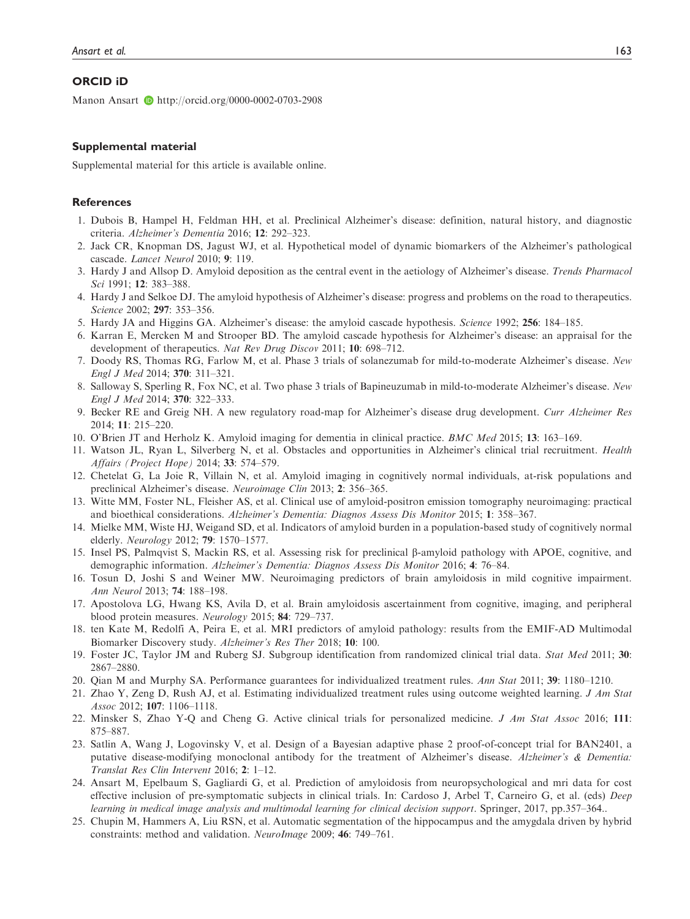### ORCID iD

Manon Ansart  $\bullet$  <http://orcid.org/0000-0002-0703-2908>

### Supplemental material

Supplemental material for this article is available online.

### **References**

- 1. Dubois B, Hampel H, Feldman HH, et al. Preclinical Alzheimer's disease: definition, natural history, and diagnostic criteria. Alzheimer's Dementia 2016; 12: 292–323.
- 2. Jack CR, Knopman DS, Jagust WJ, et al. Hypothetical model of dynamic biomarkers of the Alzheimer's pathological cascade. Lancet Neurol 2010; 9: 119.
- 3. Hardy J and Allsop D. Amyloid deposition as the central event in the aetiology of Alzheimer's disease. Trends Pharmacol Sci 1991; **12**: 383-388.
- 4. Hardy J and Selkoe DJ. The amyloid hypothesis of Alzheimer's disease: progress and problems on the road to therapeutics. Science 2002; 297: 353–356.
- 5. Hardy JA and Higgins GA. Alzheimer's disease: the amyloid cascade hypothesis. Science 1992; 256: 184–185.
- 6. Karran E, Mercken M and Strooper BD. The amyloid cascade hypothesis for Alzheimer's disease: an appraisal for the development of therapeutics. Nat Rev Drug Discov 2011; **10**: 698–712.
- 7. Doody RS, Thomas RG, Farlow M, et al. Phase 3 trials of solanezumab for mild-to-moderate Alzheimer's disease. New Engl J Med 2014; 370: 311–321.
- 8. Salloway S, Sperling R, Fox NC, et al. Two phase 3 trials of Bapineuzumab in mild-to-moderate Alzheimer's disease. New Engl J Med 2014; 370: 322–333.
- 9. Becker RE and Greig NH. A new regulatory road-map for Alzheimer's disease drug development. Curr Alzheimer Res 2014; 11: 215–220.
- 10. O'Brien JT and Herholz K. Amyloid imaging for dementia in clinical practice. BMC Med 2015; 13: 163–169.
- 11. Watson JL, Ryan L, Silverberg N, et al. Obstacles and opportunities in Alzheimer's clinical trial recruitment. Health Affairs (Project Hope) 2014; 33: 574-579.
- 12. Chetelat G, La Joie R, Villain N, et al. Amyloid imaging in cognitively normal individuals, at-risk populations and preclinical Alzheimer's disease. Neuroimage Clin 2013; 2: 356–365.
- 13. Witte MM, Foster NL, Fleisher AS, et al. Clinical use of amyloid-positron emission tomography neuroimaging: practical and bioethical considerations. Alzheimer's Dementia: Diagnos Assess Dis Monitor 2015; 1: 358–367.
- 14. Mielke MM, Wiste HJ, Weigand SD, et al. Indicators of amyloid burden in a population-based study of cognitively normal elderly. Neurology 2012; 79: 1570–1577.
- 15. Insel PS, Palmqvist S, Mackin RS, et al. Assessing risk for preclinical b-amyloid pathology with APOE, cognitive, and demographic information. Alzheimer's Dementia: Diagnos Assess Dis Monitor 2016; 4: 76–84.
- 16. Tosun D, Joshi S and Weiner MW. Neuroimaging predictors of brain amyloidosis in mild cognitive impairment. Ann Neurol 2013; 74: 188–198.
- 17. Apostolova LG, Hwang KS, Avila D, et al. Brain amyloidosis ascertainment from cognitive, imaging, and peripheral blood protein measures. Neurology 2015; 84: 729–737.
- 18. ten Kate M, Redolfi A, Peira E, et al. MRI predictors of amyloid pathology: results from the EMIF-AD Multimodal Biomarker Discovery study. Alzheimer's Res Ther 2018; 10: 100.
- 19. Foster JC, Taylor JM and Ruberg SJ. Subgroup identification from randomized clinical trial data. Stat Med 2011; 30: 2867–2880.
- 20. Qian M and Murphy SA. Performance guarantees for individualized treatment rules. Ann Stat 2011; 39: 1180–1210.
- 21. Zhao Y, Zeng D, Rush AJ, et al. Estimating individualized treatment rules using outcome weighted learning. J Am Stat Assoc 2012; 107: 1106–1118.
- 22. Minsker S, Zhao Y-Q and Cheng G. Active clinical trials for personalized medicine. J Am Stat Assoc 2016; 111: 875–887.
- 23. Satlin A, Wang J, Logovinsky V, et al. Design of a Bayesian adaptive phase 2 proof-of-concept trial for BAN2401, a putative disease-modifying monoclonal antibody for the treatment of Alzheimer's disease. Alzheimer's & Dementia: Translat Res Clin Intervent 2016; 2: 1–12.
- 24. Ansart M, Epelbaum S, Gagliardi G, et al. Prediction of amyloidosis from neuropsychological and mri data for cost effective inclusion of pre-symptomatic subjects in clinical trials. In: Cardoso J, Arbel T, Carneiro G, et al. (eds) Deep learning in medical image analysis and multimodal learning for clinical decision support. Springer, 2017, pp.357–364..
- 25. Chupin M, Hammers A, Liu RSN, et al. Automatic segmentation of the hippocampus and the amygdala driven by hybrid constraints: method and validation. NeuroImage 2009; 46: 749–761.